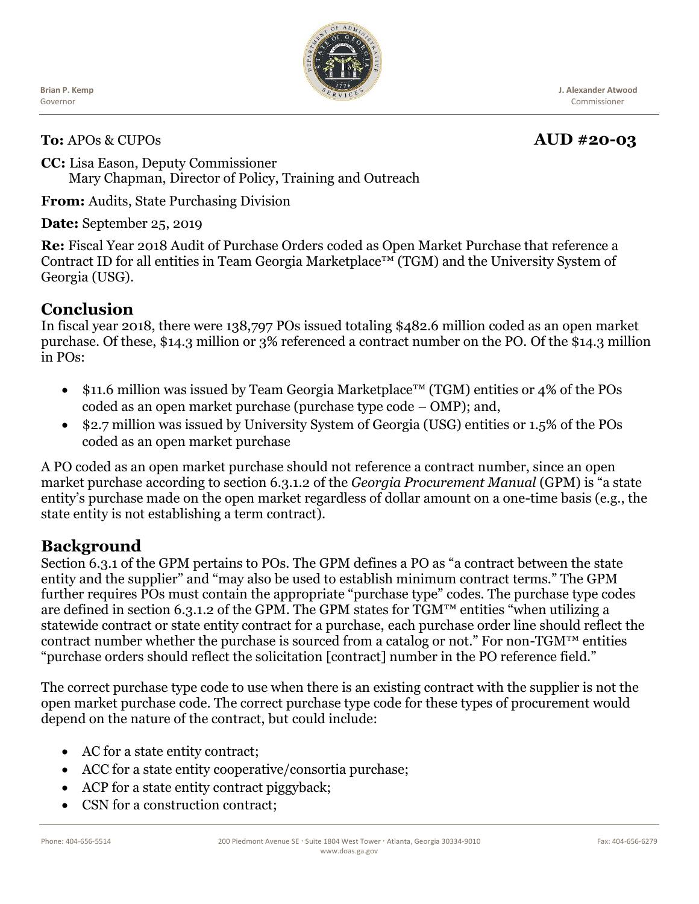Ĭ **Brian P. Kemp** Governor



**J. Alexander Atwood** Commissioner

#### **To:** APOs & CUPOs **AUD** #20-03

#### **CC:** Lisa Eason, Deputy Commissioner Mary Chapman, Director of Policy, Training and Outreach

**From:** Audits, State Purchasing Division

#### **Date:** September 25, 2019

**Re:** Fiscal Year 2018 Audit of Purchase Orders coded as Open Market Purchase that reference a Contract ID for all entities in Team Georgia Marketplace™ (TGM) and the University System of Georgia (USG).

## **Conclusion**

In fiscal year 2018, there were 138,797 POs issued totaling \$482.6 million coded as an open market purchase. Of these, \$14.3 million or 3% referenced a contract number on the PO. Of the \$14.3 million in POs:

- \$11.6 million was issued by Team Georgia Marketplace™ (TGM) entities or 4% of the POs coded as an open market purchase (purchase type code – OMP); and,
- \$2.7 million was issued by University System of Georgia (USG) entities or 1.5% of the POs coded as an open market purchase

A PO coded as an open market purchase should not reference a contract number, since an open market purchase according to section 6.3.1.2 of the *Georgia Procurement Manual* (GPM) is "a state entity's purchase made on the open market regardless of dollar amount on a one-time basis (e.g., the state entity is not establishing a term contract).

## **Background**

Section 6.3.1 of the GPM pertains to POs. The GPM defines a PO as "a contract between the state entity and the supplier" and "may also be used to establish minimum contract terms." The GPM further requires POs must contain the appropriate "purchase type" codes. The purchase type codes are defined in section 6.3.1.2 of the GPM. The GPM states for TGM™ entities "when utilizing a statewide contract or state entity contract for a purchase, each purchase order line should reflect the contract number whether the purchase is sourced from a catalog or not." For non-TGM<sup>TM</sup> entities "purchase orders should reflect the solicitation [contract] number in the PO reference field."

The correct purchase type code to use when there is an existing contract with the supplier is not the open market purchase code. The correct purchase type code for these types of procurement would depend on the nature of the contract, but could include:

- AC for a state entity contract;
- ACC for a state entity cooperative/consortia purchase;
- ACP for a state entity contract piggyback;
- CSN for a construction contract: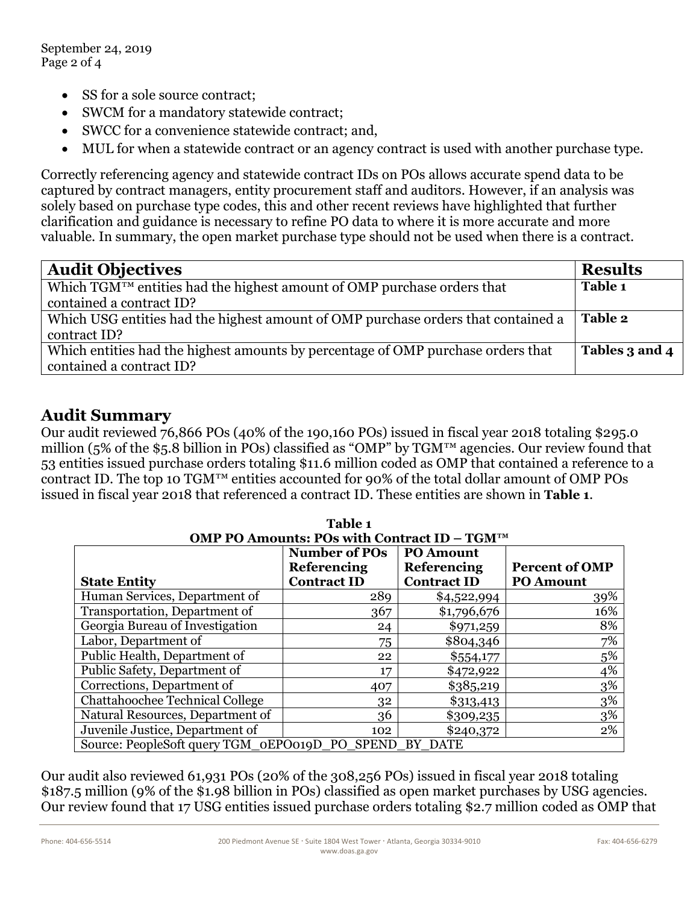September 24, 2019 Page 2 of 4

- SS for a sole source contract;
- SWCM for a mandatory statewide contract;
- SWCC for a convenience statewide contract; and,
- MUL for when a statewide contract or an agency contract is used with another purchase type.

Correctly referencing agency and statewide contract IDs on POs allows accurate spend data to be captured by contract managers, entity procurement staff and auditors. However, if an analysis was solely based on purchase type codes, this and other recent reviews have highlighted that further clarification and guidance is necessary to refine PO data to where it is more accurate and more valuable. In summary, the open market purchase type should not be used when there is a contract.

| <b>Audit Objectives</b>                                                             | <b>Results</b> |
|-------------------------------------------------------------------------------------|----------------|
| Which TGM <sup>TM</sup> entities had the highest amount of OMP purchase orders that | Table 1        |
| contained a contract ID?                                                            |                |
| Which USG entities had the highest amount of OMP purchase orders that contained a   | Table 2        |
| contract ID?                                                                        |                |
| Which entities had the highest amounts by percentage of OMP purchase orders that    | Tables 3 and 4 |
| contained a contract ID?                                                            |                |

## **Audit Summary**

Our audit reviewed 76,866 POs (40% of the 190,160 POs) issued in fiscal year 2018 totaling \$295.0 million (5% of the \$5.8 billion in POs) classified as "OMP" by TGM™ agencies. Our review found that 53 entities issued purchase orders totaling \$11.6 million coded as OMP that contained a reference to a contract ID. The top 10 TGM™ entities accounted for 90% of the total dollar amount of OMP POs issued in fiscal year 2018 that referenced a contract ID. These entities are shown in **Table 1**.

| Table 1<br>OMP PO Amounts: POs with Contract ID - TGMTM |                                                                                      |                    |                       |  |  |
|---------------------------------------------------------|--------------------------------------------------------------------------------------|--------------------|-----------------------|--|--|
|                                                         | <b>Number of POs</b><br><b>PO Amount</b><br><b>Referencing</b><br><b>Referencing</b> |                    | <b>Percent of OMP</b> |  |  |
| <b>State Entity</b>                                     | <b>Contract ID</b>                                                                   | <b>Contract ID</b> | <b>PO Amount</b>      |  |  |
| Human Services, Department of                           | 289                                                                                  | \$4,522,994        | 39%                   |  |  |
| Transportation, Department of                           | 367                                                                                  | \$1,796,676        | 16%                   |  |  |
| Georgia Bureau of Investigation                         | 24                                                                                   | \$971,259          | 8%                    |  |  |
| Labor, Department of                                    | 75                                                                                   | \$804,346          | 7%                    |  |  |
| Public Health, Department of                            | 22                                                                                   | \$554,177          | 5%                    |  |  |
| Public Safety, Department of                            | 17                                                                                   | \$472,922          | 4%                    |  |  |
| Corrections, Department of                              | 407                                                                                  | \$385,219          | 3%                    |  |  |
| Chattahoochee Technical College                         | 32                                                                                   | \$313,413          | 3%                    |  |  |
| Natural Resources, Department of                        | 36                                                                                   | \$309,235          | 3%                    |  |  |
| Juvenile Justice, Department of                         | 102                                                                                  | \$240,372          | 2%                    |  |  |
| Source: PeopleSoft query TGM oEPO019D PO SPEND BY DATE  |                                                                                      |                    |                       |  |  |

Our audit also reviewed 61,931 POs (20% of the 308,256 POs) issued in fiscal year 2018 totaling \$187.5 million (9% of the \$1.98 billion in POs) classified as open market purchases by USG agencies. Our review found that 17 USG entities issued purchase orders totaling \$2.7 million coded as OMP that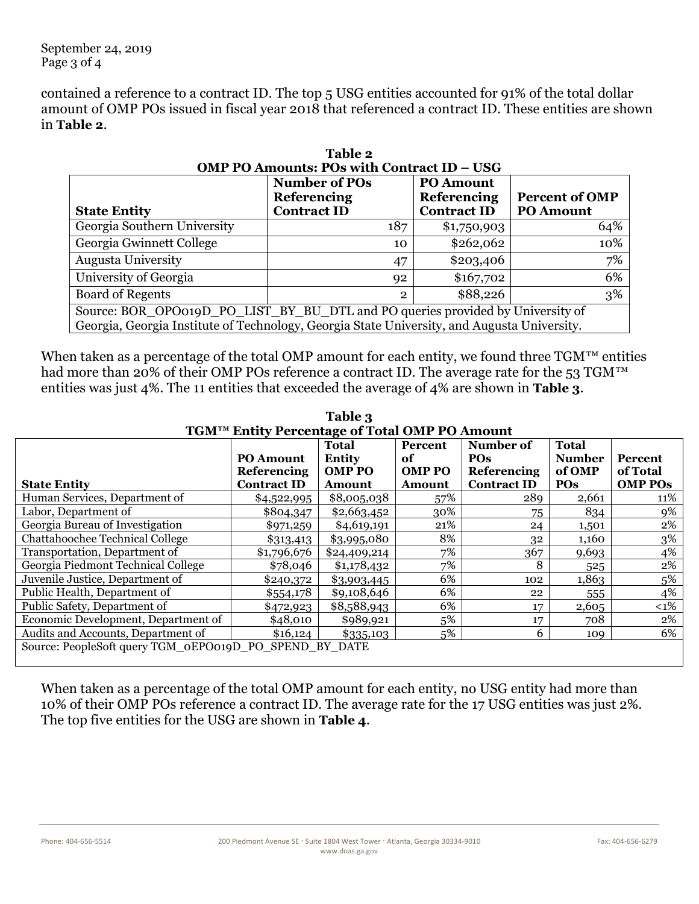contained a reference to a contract ID. The top 5 USG entities accounted for 91% of the total dollar amount of OMP POs issued in fiscal year 2018 that referenced a contract ID. These entities are shown in **Table 2**.

| Table 2                                                                                     |                      |                    |                       |  |  |
|---------------------------------------------------------------------------------------------|----------------------|--------------------|-----------------------|--|--|
| OMP PO Amounts: POs with Contract ID - USG                                                  |                      |                    |                       |  |  |
|                                                                                             | <b>Number of POs</b> | <b>PO Amount</b>   |                       |  |  |
|                                                                                             | <b>Referencing</b>   | <b>Referencing</b> | <b>Percent of OMP</b> |  |  |
| <b>State Entity</b>                                                                         | <b>Contract ID</b>   | <b>Contract ID</b> | <b>PO Amount</b>      |  |  |
| Georgia Southern University                                                                 | 187                  | \$1,750,903        | 64%                   |  |  |
| Georgia Gwinnett College                                                                    | 10                   | \$262,062          | 10%                   |  |  |
| <b>Augusta University</b>                                                                   | 47                   | \$203,406          | 7%                    |  |  |
| University of Georgia                                                                       | 92                   | \$167,702          | 6%                    |  |  |
| <b>Board of Regents</b>                                                                     | $\overline{2}$       | \$88,226           | 3%                    |  |  |
| Source: BOR_OPO019D_PO_LIST_BY_BU_DTL and PO queries provided by University of              |                      |                    |                       |  |  |
| Georgia, Georgia Institute of Technology, Georgia State University, and Augusta University. |                      |                    |                       |  |  |

When taken as a percentage of the total OMP amount for each entity, we found three  $TGM^{TM}$  entities had more than 20% of their OMP POs reference a contract ID. The average rate for the 53 TGM<sup>™</sup> entities was just 4%. The 11 entities that exceeded the average of 4% are shown in **Table 3**.

| Laviv A                                                |                    |               |               |                    |               |                |
|--------------------------------------------------------|--------------------|---------------|---------------|--------------------|---------------|----------------|
| TGM™ Entity Percentage of Total OMP PO Amount          |                    |               |               |                    |               |                |
|                                                        |                    | <b>Total</b>  | Percent       | Number of          | <b>Total</b>  |                |
|                                                        | <b>PO Amount</b>   | <b>Entity</b> | of            | <b>POs</b>         | <b>Number</b> | <b>Percent</b> |
|                                                        | <b>Referencing</b> | <b>OMP PO</b> | <b>OMP PO</b> | <b>Referencing</b> | of OMP        | of Total       |
| <b>State Entity</b>                                    | <b>Contract ID</b> | <b>Amount</b> | Amount        | <b>Contract ID</b> | <b>POs</b>    | <b>OMP POS</b> |
| Human Services, Department of                          | \$4,522,995        | \$8,005,038   | 57%           | 289                | 2,661         | 11%            |
| Labor, Department of                                   | \$804,347          | \$2,663,452   | 30%           | 75                 | 834           | 9%             |
| Georgia Bureau of Investigation                        | \$971,259          | \$4,619,191   | 21%           | 24                 | 1,501         | 2%             |
| <b>Chattahoochee Technical College</b>                 | \$313,413          | \$3,995,080   | 8%            | 32                 | 1,160         | 3%             |
| Transportation, Department of                          | \$1,796,676        | \$24,409,214  | 7%            | 367                | 9,693         | 4%             |
| Georgia Piedmont Technical College                     | \$78,046           | \$1,178,432   | 7%            | 8                  | 525           | 2%             |
| Juvenile Justice, Department of                        | \$240,372          | \$3,903,445   | 6%            | 102                | 1,863         | 5%             |
| Public Health, Department of                           | \$554,178          | \$9,108,646   | 6%            | 22                 | 555           | 4%             |
| Public Safety, Department of                           | \$472,923          | \$8,588,943   | 6%            | 17                 | 2,605         | $< 1\%$        |
| Economic Development, Department of                    | \$48,010           | \$989,921     | 5%            | 17                 | 708           | 2%             |
| Audits and Accounts, Department of                     | \$16,124           | \$335,103     | 5%            | 6                  | 109           | 6%             |
| Source: PeopleSoft query TGM_0EPO019D_PO_SPEND_BY_DATE |                    |               |               |                    |               |                |

**Table 3**

When taken as a percentage of the total OMP amount for each entity, no USG entity had more than 10% of their OMP POs reference a contract ID. The average rate for the 17 USG entities was just 2%. The top five entities for the USG are shown in **Table 4**.